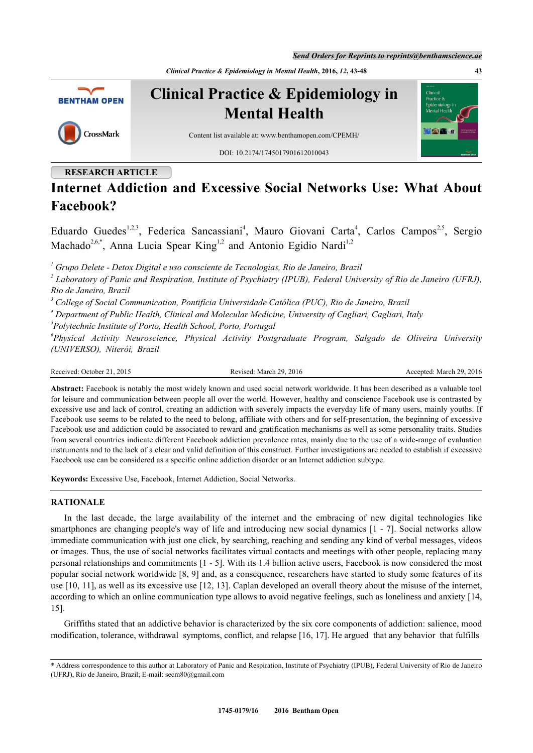*Send Orders for Reprints to reprints@benthamscience.ae*

*Clinical Practice & Epidemiology in Mental Health***, 2016,** *12***, 43-48 43**



# **RESEARCH ARTICLE**

# **Internet Addiction and Excessive Social Networks Use: What About Facebook?**

Eduardo Guedes<sup>[1,](#page-0-0)[2,](#page-0-1)[3](#page-0-2)</sup>, Federica Sancassiani<sup>[4](#page-0-3)</sup>, Mauro Giovani Carta<sup>4</sup>, Carlos Campos<sup>[2](#page-0-1)[,5](#page-0-4)</sup>, Sergio Machado<sup>[2,](#page-0-1)[6,](#page-0-5)[\\*](#page-0-6)</sup>, Anna Lucia Spear King<sup>[1](#page-0-0)[,2](#page-0-1)</sup> and Antonio Egidio Nardi<sup>1,2</sup>

<span id="page-0-0"></span>*1 Grupo Delete - Detox Digital e uso consciente de Tecnologias, Rio de Janeiro, Brazil*

<span id="page-0-1"></span>*2 Laboratory of Panic and Respiration, Institute of Psychiatry (IPUB), Federal University of Rio de Janeiro (UFRJ), Rio de Janeiro, Brazil*

<span id="page-0-2"></span>*3 College of Social Communication, Pontifícia Universidade Católica (PUC), Rio de Janeiro, Brazil*

<span id="page-0-3"></span>*4 Department of Public Health, Clinical and Molecular Medicine, University of Cagliari, Cagliari, Italy*

<span id="page-0-4"></span>*5 Polytechnic Institute of Porto, Health School, Porto, Portugal*

<span id="page-0-5"></span>*6 Physical Activity Neuroscience, Physical Activity Postgraduate Program, Salgado de Oliveira University (UNIVERSO), Niterói, Brazil*

Received: October 21, 2015 Revised: March 29, 2016 Accepted: March 29, 2016

**Abstract:** Facebook is notably the most widely known and used social network worldwide. It has been described as a valuable tool for leisure and communication between people all over the world. However, healthy and conscience Facebook use is contrasted by excessive use and lack of control, creating an addiction with severely impacts the everyday life of many users, mainly youths. If Facebook use seems to be related to the need to belong, affiliate with others and for self-presentation, the beginning of excessive Facebook use and addiction could be associated to reward and gratification mechanisms as well as some personality traits. Studies from several countries indicate different Facebook addiction prevalence rates, mainly due to the use of a wide-range of evaluation instruments and to the lack of a clear and valid definition of this construct. Further investigations are needed to establish if excessive Facebook use can be considered as a specific online addiction disorder or an Internet addiction subtype.

**Keywords:** Excessive Use, Facebook, Internet Addiction, Social Networks.

### **RATIONALE**

In the last decade, the large availability of the internet and the embracing of new digital technologies like smartphones are changing people's way of life and introducing new social dynamics [\[1](#page-3-0) - [7\]](#page-3-1). Social networks allow immediate communication with just one click, by searching, reaching and sending any kind of verbal messages, videos or images. Thus, the use of social networks facilitates virtual contacts and meetings with other people, replacing many personal relationships and commitments [\[1](#page-3-0) - [5](#page-3-2)]. With its 1.4 billion active users, Facebook is now considered the most popular social network worldwide [\[8](#page-3-3), [9\]](#page-3-4) and, as a consequence, researchers have started to study some features of its use [\[10](#page-3-5), [11\]](#page-3-6), as well as its excessive use [\[12](#page-3-7), [13\]](#page-3-8). Caplan developed an overall theory about the misuse of the internet, according to which an online communication type allows to avoid negative feelings, such as loneliness and anxiety [[14](#page-3-9), [15\]](#page-3-10).

Griffiths stated that an addictive behavior is characterized by the six core components of addiction: salience, mood modification, tolerance, withdrawal symptoms, conflict, and relapse [\[16](#page-3-11), [17](#page-3-12)]. He argued that any behavior that fulfills

<span id="page-0-6"></span><sup>\*</sup> Address correspondence to this author at Laboratory of Panic and Respiration, Institute of Psychiatry (IPUB), Federal University of Rio de Janeiro (UFRJ), Rio de Janeiro, Brazil; E-mail: [secm80@gmail.com](mailto:secm80@gmail.com)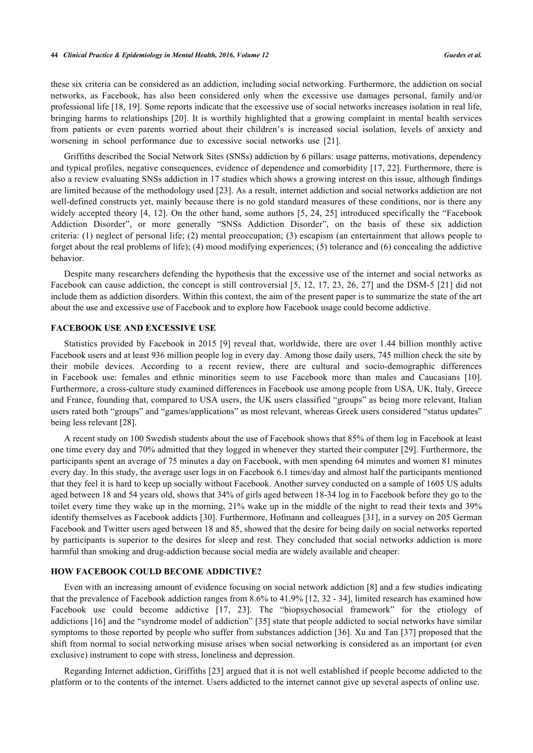these six criteria can be considered as an addiction, including social networking. Furthermore, the addiction on social networks, as Facebook, has also been considered only when the excessive use damages personal, family and/or professional life [[18,](#page-3-13) [19\]](#page-3-14). Some reports indicate that the excessive use of social networks increases isolation in real life, bringing harms to relationships [[20](#page-3-15)]. It is worthily highlighted that a growing complaint in mental health services from patients or even parents worried about their children's is increased social isolation, levels of anxiety and worsening in school performance due to excessive social networks use[[21\]](#page-3-16).

Griffiths described the Social Network Sites (SNSs) addiction by 6 pillars: usage patterns, motivations, dependency and typical profiles, negative consequences, evidence of dependence and comorbidity [[17](#page-3-12), [22\]](#page-4-0). Furthermore, there is also a review evaluating SNSs addiction in 17 studies which shows a growing interest on this issue, although findings are limited because of the methodology used [[23](#page-4-1)]. As a result, internet addiction and social networks addiction are not well-defined constructs yet, mainly because there is no gold standard measures of these conditions, nor is there any widely accepted theory [\[4](#page-3-17), [12\]](#page-3-7). On the other hand, some authors [[5,](#page-3-2) [24](#page-4-2), [25](#page-4-3)] introduced specifically the "Facebook" Addiction Disorder", or more generally "SNSs Addiction Disorder", on the basis of these six addiction criteria: (1) neglect of personal life; (2) mental preoccupation; (3) escapism (an entertainment that allows people to forget about the real problems of life); (4) mood modifying experiences; (5) tolerance and (6) concealing the addictive behavior.

Despite many researchers defending the hypothesis that the excessive use of the internet and social networks as Facebook can cause addiction, the concept is still controversial [[5](#page-3-2), [12](#page-3-7), [17](#page-3-12), [23,](#page-4-1) [26,](#page-4-4) [27](#page-4-5)] and the DSM-5 [\[21](#page-3-16)] did not include them as addiction disorders. Within this context, the aim of the present paper is to summarize the state of the art about the use and excessive use of Facebook and to explore how Facebook usage could become addictive.

#### **FACEBOOK USE AND EXCESSIVE USE**

Statistics provided by Facebook in 2015 [\[9](#page-3-4)] reveal that, worldwide, there are over 1.44 billion monthly active Facebook users and at least 936 million people log in every day. Among those daily users, 745 million check the site by their mobile devices. According to a recent review, there are cultural and socio-demographic differences in Facebook use: females and ethnic minorities seem to use Facebook more than males and Caucasians [\[10\]](#page-3-5). Furthermore, a cross-culture study examined differences in Facebook use among people from USA, UK, Italy, Greece and France, founding that, compared to USA users, the UK users classified "groups" as being more relevant, Italian users rated both "groups" and "games/applications" as most relevant, whereas Greek users considered "status updates" being less relevant [[28\]](#page-4-6).

A recent study on 100 Swedish students about the use of Facebook shows that 85% of them log in Facebook at least one time every day and 70% admitted that they logged in whenever they started their computer [\[29\]](#page-4-7). Furthermore, the participants spent an average of 75 minutes a day on Facebook, with men spending 64 minutes and women 81 minutes every day. In this study, the average user logs in on Facebook 6.1 times/day and almost half the participants mentioned that they feel it is hard to keep up socially without Facebook. Another survey conducted on a sample of 1605 US adults aged between 18 and 54 years old, shows that 34% of girls aged between 18-34 log in to Facebook before they go to the toilet every time they wake up in the morning, 21% wake up in the middle of the night to read their texts and 39% identify themselves as Facebook addicts [[30](#page-4-8)]. Furthermore, Hofmann and colleagues [[31](#page-4-9)], in a survey on 205 German Facebook and Twitter users aged between 18 and 85, showed that the desire for being daily on social networks reported by participants is superior to the desires for sleep and rest. They concluded that social networks addiction is more harmful than smoking and drug-addiction because social media are widely available and cheaper.

#### **HOW FACEBOOK COULD BECOME ADDICTIVE?**

Even with an increasing amount of evidence focusing on social network addiction [\[8](#page-3-3)] and a few studies indicating that the prevalence of Facebook addiction ranges from 8.6% to 41.9% [\[12,](#page-3-7) [32](#page-4-10) - [34](#page-4-11)], limited research has examined how Facebook use could become addictive[[17,](#page-3-12) [23](#page-4-1)]. The "biopsychosocial framework" for the etiology of addictions [[16\]](#page-3-11) and the "syndrome model of addiction" [[35\]](#page-4-12) state that people addicted to social networks have similar symptoms to those reported by people who suffer from substances addiction [\[36](#page-4-13)]. Xu and Tan [\[37](#page-4-14)] proposed that the shift from normal to social networking misuse arises when social networking is considered as an important (or even exclusive) instrument to cope with stress, loneliness and depression.

Regarding Internet addiction, Griffiths [\[23\]](#page-4-1) argued that it is not well established if people become addicted to the platform or to the contents of the internet. Users addicted to the internet cannot give up several aspects of online use.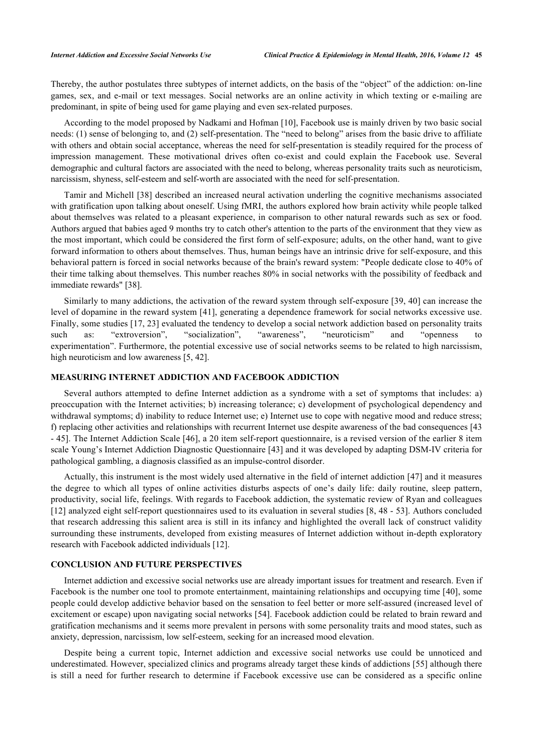Thereby, the author postulates three subtypes of internet addicts, on the basis of the "object" of the addiction: on-line games, sex, and e-mail or text messages. Social networks are an online activity in which texting or e-mailing are predominant, in spite of being used for game playing and even sex-related purposes.

According to the model proposed by Nadkami and Hofman [\[10](#page-3-5)], Facebook use is mainly driven by two basic social needs: (1) sense of belonging to, and (2) self-presentation. The "need to belong" arises from the basic drive to affiliate with others and obtain social acceptance, whereas the need for self-presentation is steadily required for the process of impression management. These motivational drives often co-exist and could explain the Facebook use. Several demographic and cultural factors are associated with the need to belong, whereas personality traits such as neuroticism, narcissism, shyness, self-esteem and self-worth are associated with the need for self-presentation.

Tamir and Michell [\[38\]](#page-4-15) described an increased neural activation underling the cognitive mechanisms associated with gratification upon talking about oneself. Using fMRI, the authors explored how brain activity while people talked about themselves was related to a pleasant experience, in comparison to other natural rewards such as sex or food. Authors argued that babies aged 9 months try to catch other's attention to the parts of the environment that they view as the most important, which could be considered the first form of self-exposure; adults, on the other hand, want to give forward information to others about themselves. Thus, human beings have an intrinsic drive for self-exposure, and this behavioral pattern is forced in social networks because of the brain's reward system: "People dedicate close to 40% of their time talking about themselves. This number reaches 80% in social networks with the possibility of feedback and immediate rewards" [[38\]](#page-4-15).

Similarly to many addictions, the activation of the reward system through self-exposure [[39,](#page-4-16) [40](#page-4-17)] can increase the level of dopamine in the reward system [[41\]](#page-4-18), generating a dependence framework for social networks excessive use. Finally, some studies [[17](#page-3-12), [23\]](#page-4-1) evaluated the tendency to develop a social network addiction based on personality traits such as: "extroversion", "socialization", "awareness", "neuroticism" and "openness to experimentation". Furthermore, the potential excessive use of social networks seems to be related to high narcissism, high neuroticism and low awareness [\[5](#page-3-2), [42](#page-4-19)].

#### **MEASURING INTERNET ADDICTION AND FACEBOOK ADDICTION**

Several authors attempted to define Internet addiction as a syndrome with a set of symptoms that includes: a) preoccupation with the Internet activities; b) increasing tolerance; c) development of psychological dependency and withdrawal symptoms; d) inability to reduce Internet use; e) Internet use to cope with negative mood and reduce stress; f) replacing other activities and relationships with recurrent Internet use despite awareness of the bad consequences [[43](#page-4-20) - [45](#page-5-0)]. The Internet Addiction Scale [[46\]](#page-5-1), a 20 item self-report questionnaire, is a revised version of the earlier 8 item scale Young's Internet Addiction Diagnostic Questionnaire [[43](#page-4-20)] and it was developed by adapting DSM-IV criteria for pathological gambling, a diagnosis classified as an impulse-control disorder.

Actually, this instrument is the most widely used alternative in the field of internet addiction [\[47\]](#page-5-2) and it measures the degree to which all types of online activities disturbs aspects of one's daily life: daily routine, sleep pattern, productivity, social life, feelings. With regards to Facebook addiction, the systematic review of Ryan and colleagues [\[12](#page-3-7)] analyzed eight self-report questionnaires used to its evaluation in several studies [[8,](#page-3-3) [48](#page-5-3) - [53](#page-5-4)]. Authors concluded that research addressing this salient area is still in its infancy and highlighted the overall lack of construct validity surrounding these instruments, developed from existing measures of Internet addiction without in-depth exploratory research with Facebook addicted individuals [[12\]](#page-3-7).

#### **CONCLUSION AND FUTURE PERSPECTIVES**

Internet addiction and excessive social networks use are already important issues for treatment and research. Even if Facebook is the number one tool to promote entertainment, maintaining relationships and occupying time [[40](#page-4-17)], some people could develop addictive behavior based on the sensation to feel better or more self-assured (increased level of excitement or escape) upon navigating social networks [[54](#page-5-5)]. Facebook addiction could be related to brain reward and gratification mechanisms and it seems more prevalent in persons with some personality traits and mood states, such as anxiety, depression, narcissism, low self-esteem, seeking for an increased mood elevation.

Despite being a current topic, Internet addiction and excessive social networks use could be unnoticed and underestimated. However, specialized clinics and programs already target these kinds of addictions [\[55](#page-5-6)] although there is still a need for further research to determine if Facebook excessive use can be considered as a specific online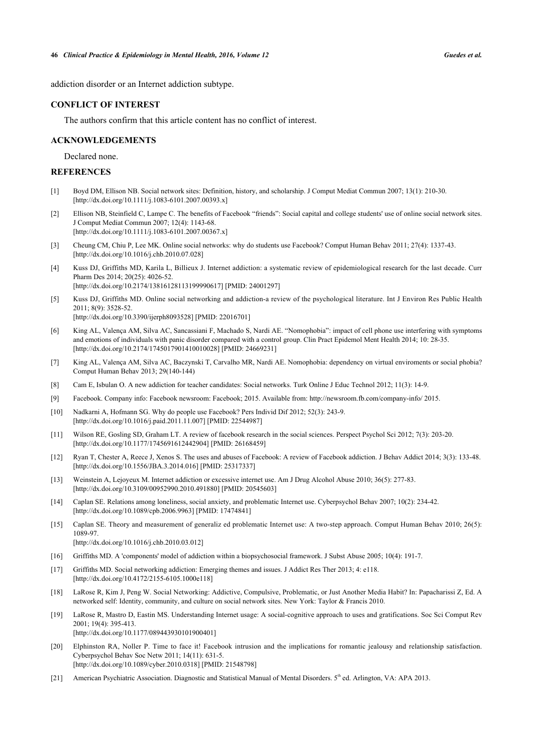addiction disorder or an Internet addiction subtype.

#### **CONFLICT OF INTEREST**

The authors confirm that this article content has no conflict of interest.

#### **ACKNOWLEDGEMENTS**

Declared none.

## **REFERENCES**

- <span id="page-3-0"></span>[1] Boyd DM, Ellison NB. Social network sites: Definition, history, and scholarship. J Comput Mediat Commun 2007; 13(1): 210-30. [\[http://dx.doi.org/10.1111/j.1083-6101.2007.00393.x\]](http://dx.doi.org/10.1111/j.1083-6101.2007.00393.x)
- [2] Ellison NB, Steinfield C, Lampe C. The benefits of Facebook "friends": Social capital and college students' use of online social network sites. J Comput Mediat Commun 2007; 12(4): 1143-68. [\[http://dx.doi.org/10.1111/j.1083-6101.2007.00367.x\]](http://dx.doi.org/10.1111/j.1083-6101.2007.00367.x)
- [3] Cheung CM, Chiu P, Lee MK. Online social networks: why do students use Facebook? Comput Human Behav 2011; 27(4): 1337-43. [\[http://dx.doi.org/10.1016/j.chb.2010.07.028\]](http://dx.doi.org/10.1016/j.chb.2010.07.028)
- <span id="page-3-17"></span>[4] Kuss DJ, Griffiths MD, Karila L, Billieux J. Internet addiction: a systematic review of epidemiological research for the last decade. Curr Pharm Des 2014; 20(25): 4026-52. [\[http://dx.doi.org/10.2174/13816128113199990617\]](http://dx.doi.org/10.2174/13816128113199990617) [PMID: [24001297](http://www.ncbi.nlm.nih.gov/pubmed/24001297)]
- <span id="page-3-2"></span>[5] Kuss DJ, Griffiths MD. Online social networking and addiction-a review of the psychological literature. Int J Environ Res Public Health 2011; 8(9): 3528-52.

[\[http://dx.doi.org/10.3390/ijerph8093528](http://dx.doi.org/10.3390/ijerph8093528)] [PMID: [22016701](http://www.ncbi.nlm.nih.gov/pubmed/22016701)]

- [6] King AL, Valença AM, Silva AC, Sancassiani F, Machado S, Nardi AE. "Nomophobia": impact of cell phone use interfering with symptoms and emotions of individuals with panic disorder compared with a control group. Clin Pract Epidemol Ment Health 2014; 10: 28-35. [\[http://dx.doi.org/10.2174/1745017901410010028\]](http://dx.doi.org/10.2174/1745017901410010028) [PMID: [24669231](http://www.ncbi.nlm.nih.gov/pubmed/24669231)]
- <span id="page-3-1"></span>[7] King AL, Valença AM, Silva AC, Baczynski T, Carvalho MR, Nardi AE. Nomophobia: dependency on virtual enviroments or social phobia? Comput Human Behav 2013; 29(140-144)
- <span id="page-3-3"></span>[8] Cam E, Isbulan O. A new addiction for teacher candidates: Social networks. Turk Online J Educ Technol 2012; 11(3): 14-9.
- <span id="page-3-4"></span>[9] Facebook. Company info: Facebook newsroom: Facebook; 2015. Available from: <http://newsroom.fb.com/company-info/> 2015.
- <span id="page-3-5"></span>[10] Nadkarni A, Hofmann SG. Why do people use Facebook? Pers Individ Dif 2012; 52(3): 243-9. [\[http://dx.doi.org/10.1016/j.paid.2011.11.007\]](http://dx.doi.org/10.1016/j.paid.2011.11.007) [PMID: [22544987](http://www.ncbi.nlm.nih.gov/pubmed/22544987)]
- <span id="page-3-6"></span>[11] Wilson RE, Gosling SD, Graham LT. A review of facebook research in the social sciences. Perspect Psychol Sci 2012; 7(3): 203-20. [\[http://dx.doi.org/10.1177/1745691612442904\]](http://dx.doi.org/10.1177/1745691612442904) [PMID: [26168459](http://www.ncbi.nlm.nih.gov/pubmed/26168459)]
- <span id="page-3-7"></span>[12] Ryan T, Chester A, Reece J, Xenos S. The uses and abuses of Facebook: A review of Facebook addiction. J Behav Addict 2014; 3(3): 133-48. [\[http://dx.doi.org/10.1556/JBA.3.2014.016](http://dx.doi.org/10.1556/JBA.3.2014.016)] [PMID: [25317337\]](http://www.ncbi.nlm.nih.gov/pubmed/25317337)
- <span id="page-3-8"></span>[13] Weinstein A, Lejoyeux M. Internet addiction or excessive internet use. Am J Drug Alcohol Abuse 2010; 36(5): 277-83. [\[http://dx.doi.org/10.3109/00952990.2010.491880\]](http://dx.doi.org/10.3109/00952990.2010.491880) [PMID: [20545603](http://www.ncbi.nlm.nih.gov/pubmed/20545603)]
- <span id="page-3-9"></span>[14] Caplan SE. Relations among loneliness, social anxiety, and problematic Internet use. Cyberpsychol Behav 2007; 10(2): 234-42. [\[http://dx.doi.org/10.1089/cpb.2006.9963](http://dx.doi.org/10.1089/cpb.2006.9963)] [PMID: [17474841\]](http://www.ncbi.nlm.nih.gov/pubmed/17474841)
- <span id="page-3-10"></span>[15] Caplan SE. Theory and measurement of generaliz ed problematic Internet use: A two-step approach. Comput Human Behav 2010; 26(5): 1089-97.

[\[http://dx.doi.org/10.1016/j.chb.2010.03.012\]](http://dx.doi.org/10.1016/j.chb.2010.03.012)

- <span id="page-3-11"></span>[16] Griffiths MD. A 'components' model of addiction within a biopsychosocial framework. J Subst Abuse 2005; 10(4): 191-7.
- <span id="page-3-12"></span>[17] Griffiths MD. Social networking addiction: Emerging themes and issues. J Addict Res Ther 2013; 4: e118. [\[http://dx.doi.org/10.4172/2155-6105.1000e118](http://dx.doi.org/10.4172/2155-6105.1000e118)]
- <span id="page-3-13"></span>[18] LaRose R, Kim J, Peng W. Social Networking: Addictive, Compulsive, Problematic, or Just Another Media Habit? In: Papacharissi Z, Ed. A networked self: Identity, community, and culture on social network sites. New York: Taylor & Francis 2010.
- <span id="page-3-14"></span>[19] LaRose R, Mastro D, Eastin MS. Understanding Internet usage: A social-cognitive approach to uses and gratifications. Soc Sci Comput Rev 2001; 19(4): 395-413. [\[http://dx.doi.org/10.1177/089443930101900401\]](http://dx.doi.org/10.1177/089443930101900401)
- <span id="page-3-15"></span>[20] Elphinston RA, Noller P. Time to face it! Facebook intrusion and the implications for romantic jealousy and relationship satisfaction. Cyberpsychol Behav Soc Netw 2011; 14(11): 631-5. [\[http://dx.doi.org/10.1089/cyber.2010.0318\]](http://dx.doi.org/10.1089/cyber.2010.0318) [PMID: [21548798](http://www.ncbi.nlm.nih.gov/pubmed/21548798)]
- <span id="page-3-16"></span>[21] American Psychiatric Association. Diagnostic and Statistical Manual of Mental Disorders. 5th ed. Arlington, VA: APA 2013.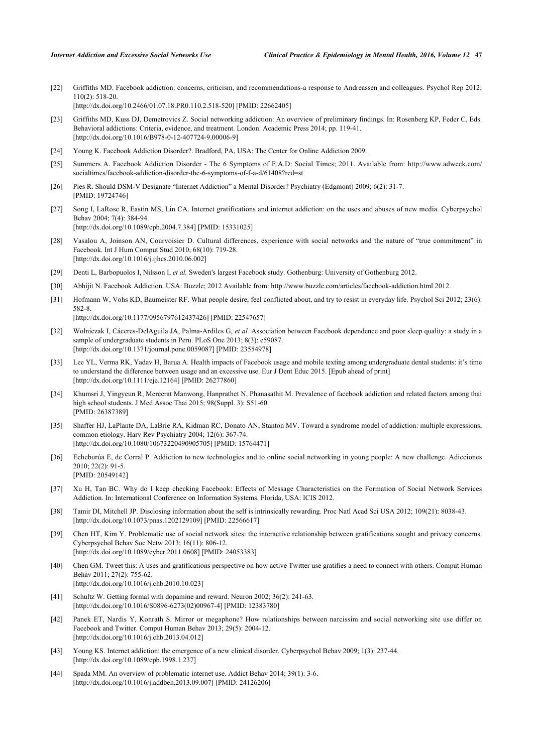<span id="page-4-0"></span>[22] Griffiths MD. Facebook addiction: concerns, criticism, and recommendations-a response to Andreassen and colleagues. Psychol Rep 2012; 110(2): 518-20. [\[http://dx.doi.org/10.2466/01.07.18.PR0.110.2.518-520](http://dx.doi.org/10.2466/01.07.18.PR0.110.2.518-520)] [PMID: [22662405\]](http://www.ncbi.nlm.nih.gov/pubmed/22662405)

- <span id="page-4-1"></span>[23] Griffiths MD, Kuss DJ, Demetrovics Z. Social networking addiction: An overview of preliminary findings. In: Rosenberg KP, Feder C, Eds. Behavioral addictions: Criteria, evidence, and treatment. London: Academic Press 2014; pp. 119-41. [\[http://dx.doi.org/10.1016/B978-0-12-407724-9.00006-9](http://dx.doi.org/10.1016/B978-0-12-407724-9.00006-9)]
- <span id="page-4-2"></span>[24] Young K. Facebook Addiction Disorder?. Bradford, PA, USA: The Center for Online Addiction 2009.
- <span id="page-4-3"></span>[25] Summers A. Facebook Addiction Disorder - The 6 Symptoms of F.A.D: Social Times; 2011. Available from: [http://www.adweek.com/](http://www.adweek.com/socialtimes/facebook-addiction-disorder-the-6-symptoms-of-f-a-d/61408?red=st.) [socialtimes/facebook-addiction-disorder-the-6-symptoms-of-f-a-d/61408?red=st](http://www.adweek.com/socialtimes/facebook-addiction-disorder-the-6-symptoms-of-f-a-d/61408?red=st.)
- <span id="page-4-4"></span>[26] Pies R. Should DSM-V Designate "Internet Addiction" a Mental Disorder? Psychiatry (Edgmont) 2009; 6(2): 31-7. [PMID: [19724746\]](http://www.ncbi.nlm.nih.gov/pubmed/19724746)
- <span id="page-4-5"></span>[27] Song I, LaRose R, Eastin MS, Lin CA. Internet gratifications and internet addiction: on the uses and abuses of new media. Cyberpsychol Behav 2004; 7(4): 384-94. [\[http://dx.doi.org/10.1089/cpb.2004.7.384](http://dx.doi.org/10.1089/cpb.2004.7.384)] [PMID: [15331025\]](http://www.ncbi.nlm.nih.gov/pubmed/15331025)
- <span id="page-4-6"></span>[28] Vasalou A, Joinson AN, Courvoisier D. Cultural differences, experience with social networks and the nature of "true commitment" in Facebook. Int J Hum Comput Stud 2010; 68(10): 719-28. [\[http://dx.doi.org/10.1016/j.ijhcs.2010.06.002](http://dx.doi.org/10.1016/j.ijhcs.2010.06.002)]
- <span id="page-4-7"></span>[29] Denti L, Barbopuolos I, Nilsson I, *et al.* Sweden's largest Facebook study. Gothenburg: University of Gothenburg 2012.
- <span id="page-4-8"></span>[30] Abhijit N. Facebook Addiction. USA: Buzzle; 2012 Available from: [http://www.buzzle.com/articles/facebook-addiction.html](http://www.buzzle.com/articles/facebook-addiction.html.) 2012.
- <span id="page-4-9"></span>[31] Hofmann W, Vohs KD, Baumeister RF. What people desire, feel conflicted about, and try to resist in everyday life. Psychol Sci 2012; 23(6): 582-8.

[\[http://dx.doi.org/10.1177/0956797612437426\]](http://dx.doi.org/10.1177/0956797612437426) [PMID: [22547657](http://www.ncbi.nlm.nih.gov/pubmed/22547657)]

- <span id="page-4-10"></span>[32] Wolniczak I, Cáceres-DelAguila JA, Palma-Ardiles G, *et al.* Association between Facebook dependence and poor sleep quality: a study in a sample of undergraduate students in Peru. PLoS One 2013; 8(3): e59087. [\[http://dx.doi.org/10.1371/journal.pone.0059087](http://dx.doi.org/10.1371/journal.pone.0059087)] [PMID: [23554978\]](http://www.ncbi.nlm.nih.gov/pubmed/23554978)
- [33] Lee YL, Verma RK, Yadav H, Barua A. Health impacts of Facebook usage and mobile texting among undergraduate dental students: it's time to understand the difference between usage and an excessive use. Eur J Dent Educ 2015. [Epub ahead of print] [\[http://dx.doi.org/10.1111/eje.12164](http://dx.doi.org/10.1111/eje.12164)] [PMID: [26277860\]](http://www.ncbi.nlm.nih.gov/pubmed/26277860)
- <span id="page-4-11"></span>[34] Khumsri J, Yingyeun R, Mereerat Manwong, Hanprathet N, Phanasathit M. Prevalence of facebook addiction and related factors among thai high school students. J Med Assoc Thai 2015; 98(Suppl. 3): S51-60. [PMID: [26387389\]](http://www.ncbi.nlm.nih.gov/pubmed/26387389)
- <span id="page-4-12"></span>[35] Shaffer HJ, LaPlante DA, LaBrie RA, Kidman RC, Donato AN, Stanton MV. Toward a syndrome model of addiction: multiple expressions, common etiology. Harv Rev Psychiatry 2004; 12(6): 367-74. [\[http://dx.doi.org/10.1080/10673220490905705\]](http://dx.doi.org/10.1080/10673220490905705) [PMID: [15764471](http://www.ncbi.nlm.nih.gov/pubmed/15764471)]
- <span id="page-4-13"></span>[36] Echeburúa E, de Corral P. Addiction to new technologies and to online social networking in young people: A new challenge. Adicciones 2010; 22(2): 91-5. [PMID: [20549142\]](http://www.ncbi.nlm.nih.gov/pubmed/20549142)
- <span id="page-4-14"></span>[37] Xu H, Tan BC. Why do I keep checking Facebook: Effects of Message Characteristics on the Formation of Social Network Services Addiction. In: International Conference on Information Systems. Florida, USA: ICIS 2012.
- <span id="page-4-15"></span>[38] Tamir DI, Mitchell JP. Disclosing information about the self is intrinsically rewarding. Proc Natl Acad Sci USA 2012; 109(21): 8038-43. [\[http://dx.doi.org/10.1073/pnas.1202129109](http://dx.doi.org/10.1073/pnas.1202129109)] [PMID: [22566617](http://www.ncbi.nlm.nih.gov/pubmed/22566617)]
- <span id="page-4-16"></span>[39] Chen HT, Kim Y. Problematic use of social network sites: the interactive relationship between gratifications sought and privacy concerns. Cyberpsychol Behav Soc Netw 2013; 16(11): 806-12. [\[http://dx.doi.org/10.1089/cyber.2011.0608\]](http://dx.doi.org/10.1089/cyber.2011.0608) [PMID: [24053383](http://www.ncbi.nlm.nih.gov/pubmed/24053383)]
- <span id="page-4-17"></span>[40] Chen GM. Tweet this: A uses and gratifications perspective on how active Twitter use gratifies a need to connect with others. Comput Human Behav 2011; 27(2): 755-62. [\[http://dx.doi.org/10.1016/j.chb.2010.10.023\]](http://dx.doi.org/10.1016/j.chb.2010.10.023)
- <span id="page-4-18"></span>[41] Schultz W. Getting formal with dopamine and reward. Neuron 2002; 36(2): 241-63. [\[http://dx.doi.org/10.1016/S0896-6273\(02\)00967-4\]](http://dx.doi.org/10.1016/S0896-6273(02)00967-4) [PMID: [12383780](http://www.ncbi.nlm.nih.gov/pubmed/12383780)]
- <span id="page-4-19"></span>[42] Panek ET, Nardis Y, Konrath S. Mirror or megaphone? How relationships between narcissim and social networking site use differ on Facebook and Twitter. Comput Human Behav 2013; 29(5): 2004-12. [\[http://dx.doi.org/10.1016/j.chb.2013.04.012\]](http://dx.doi.org/10.1016/j.chb.2013.04.012)
- <span id="page-4-20"></span>[43] Young KS. Internet addiction: the emergence of a new clinical disorder. Cyberpsychol Behav 2009; 1(3): 237-44. [\[http://dx.doi.org/10.1089/cpb.1998.1.237](http://dx.doi.org/10.1089/cpb.1998.1.237)]
- [44] Spada MM. An overview of problematic internet use. Addict Behav 2014; 39(1): 3-6. [\[http://dx.doi.org/10.1016/j.addbeh.2013.09.007](http://dx.doi.org/10.1016/j.addbeh.2013.09.007)] [PMID: [24126206\]](http://www.ncbi.nlm.nih.gov/pubmed/24126206)